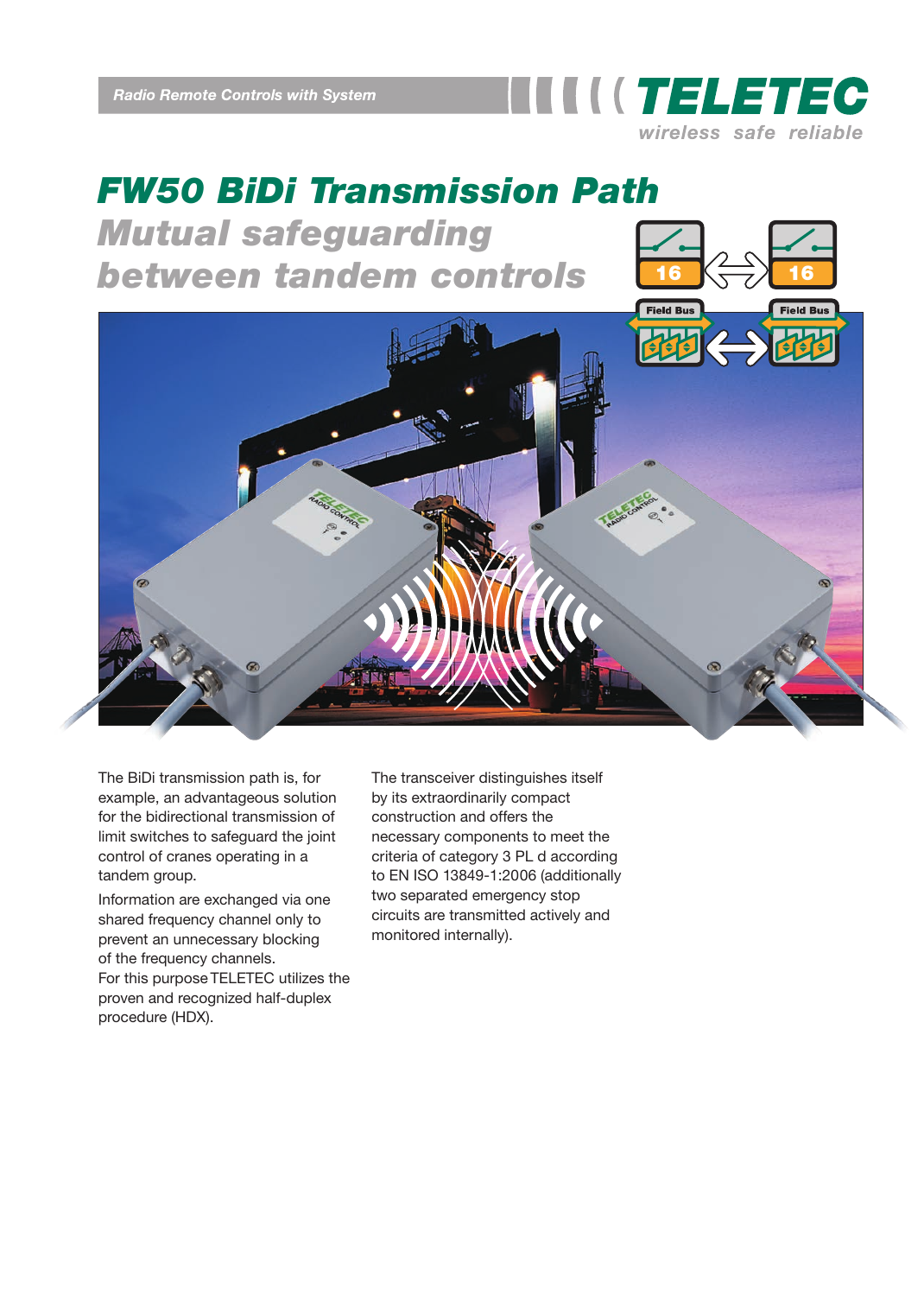

## *FW50 BiDi Transmission Path Mutual safeguarding* **between tandem controls**

**Field Bus** 

The BiDi transmission path is, for example, an advantageous solution for the bidirectional transmission of limit switches to safeguard the joint control of cranes operating in a tandem group.

Information are exchanged via one shared frequency channel only to prevent an unnecessary blocking of the frequency channels. For this purpose TELETEC utilizes the proven and recognized half-duplex procedure (HDX).

The transceiver distinguishes itself by its extraordinarily compact construction and offers the necessary components to meet the criteria of category 3 PL d according to EN ISO 13849-1:2006 (additionally two separated emergency stop circuits are transmitted actively and monitored internally).